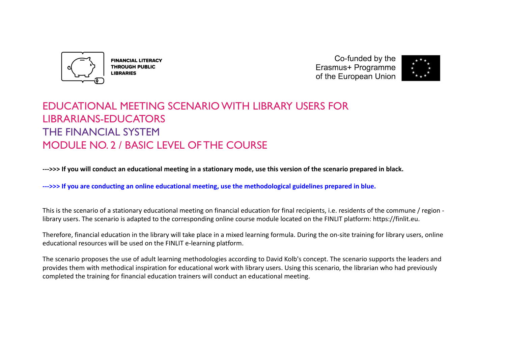

**FINANCIAL LITERACY THROUGH PUBLIC LIBRARIES** 

Co-funded by the Erasmus+ Programme of the European Union



# EDUCATIONAL MEETING SCENARIO WITH LIBRARY USERS FOR LIBRARIANS-EDUCATORS THE FINANCIAL SYSTEM MODULE NO. 2 / BASIC LEVEL OF THE COURSE

**--->>> If you will conduct an educational meeting in a stationary mode, use this version of the scenario prepared in black.**

**--->>> If you are conducting an online educational meeting, use the methodological guidelines prepared in blue.**

This is the scenario of a stationary educational meeting on financial education for final recipients, i.e. residents of the commune / region library users. The scenario is adapted to the corresponding online course module located on the FINLIT platform: https://finlit.eu.

Therefore, financial education in the library will take place in a mixed learning formula. During the on-site training for library users, online educational resources will be used on the FINLIT e-learning platform.

The scenario proposes the use of adult learning methodologies according to David Kolb's concept. The scenario supports the leaders and provides them with methodical inspiration for educational work with library users. Using this scenario, the librarian who had previously completed the training for financial education trainers will conduct an educational meeting.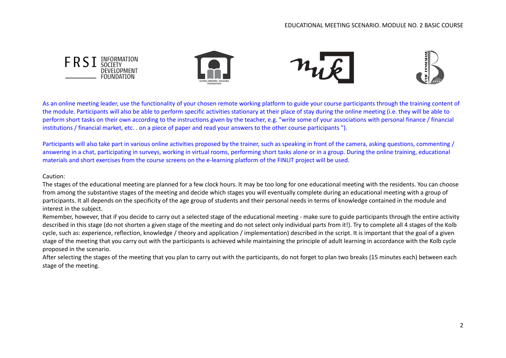

As an online meeting leader, use the functionality of your chosen remote working platform to guide your course participants through the training content of the module. Participants will also be able to perform specific activities stationary at their place of stay during the online meeting (i.e. they will be able to perform short tasks on their own according to the instructions given by the teacher, e.g. "write some of your associations with personal finance / financial institutions / financial market, etc. . on a piece of paper and read your answers to the other course participants ").

Participants will also take part in various online activities proposed by the trainer, such as speaking in front of the camera, asking questions, commenting / answering in a chat, participating in surveys, working in virtual rooms, performing short tasks alone or in a group. During the online training, educational materials and short exercises from the course screens on the e-learning platform of the FINLIT project will be used.

#### Caution:

The stages of the educational meeting are planned for a few clock hours. It may be too long for one educational meeting with the residents. You can choose from among the substantive stages of the meeting and decide which stages you will eventually complete during an educational meeting with a group of participants. It all depends on the specificity of the age group of students and their personal needs in terms of knowledge contained in the module and interest in the subject.

Remember, however, that if you decide to carry out a selected stage of the educational meeting - make sure to guide participants through the entire activity described in this stage (do not shorten a given stage of the meeting and do not select only individual parts from it!). Try to complete all 4 stages of the Kolb cycle, such as: experience, reflection, knowledge / theory and application / implementation) described in the script. It is important that the goal of a given stage of the meeting that you carry out with the participants is achieved while maintaining the principle of adult learning in accordance with the Kolb cycle proposed in the scenario.

After selecting the stages of the meeting that you plan to carry out with the participants, do not forget to plan two breaks (15 minutes each) between each stage of the meeting.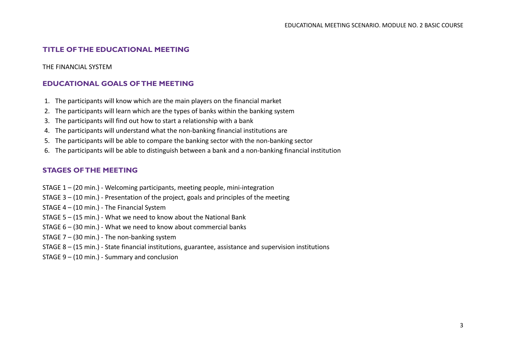## **TITLE OF THE EDUCATIONAL MEETING**

#### THE FINANCIAL SYSTEM

## **EDUCATIONAL GOALS OF THE MEETING**

- 1. The participants will know which are the main players on the financial market
- 2. The participants will learn which are the types of banks within the banking system
- 3. The participants will find out how to start a relationship with a bank
- 4. The participants will understand what the non-banking financial institutions are
- 5. The participants will be able to compare the banking sector with the non-banking sector
- 6. The participants will be able to distinguish between a bank and a non-banking financial institution

## **STAGES OF THE MEETING**

- STAGE 1 (20 min.) Welcoming participants, meeting people, mini-integration
- STAGE 3 (10 min.) Presentation of the project, goals and principles of the meeting
- STAGE 4 (10 min.) The Financial System
- STAGE 5 (15 min.) What we need to know about the National Bank
- STAGE 6 (30 min.) What we need to know about commercial banks
- STAGE 7 (30 min.) The non-banking system
- STAGE 8 (15 min.) State financial institutions, guarantee, assistance and supervision institutions
- STAGE 9 (10 min.) Summary and conclusion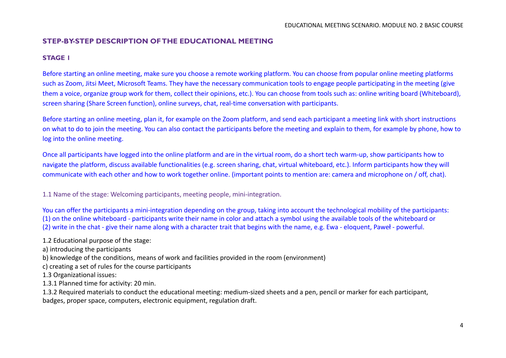## **STEP-BY-STEP DESCRIPTION OF THE EDUCATIONAL MEETING**

#### **STAGE 1**

Before starting an online meeting, make sure you choose a remote working platform. You can choose from popular online meeting platforms such as Zoom, Jitsi Meet, Microsoft Teams. They have the necessary communication tools to engage people participating in the meeting (give them a voice, organize group work for them, collect their opinions, etc.). You can choose from tools such as: online writing board (Whiteboard), screen sharing (Share Screen function), online surveys, chat, real-time conversation with participants.

Before starting an online meeting, plan it, for example on the Zoom platform, and send each participant a meeting link with short instructions on what to do to join the meeting. You can also contact the participants before the meeting and explain to them, for example by phone, how to log into the online meeting.

Once all participants have logged into the online platform and are in the virtual room, do a short tech warm-up, show participants how to navigate the platform, discuss available functionalities (e.g. screen sharing, chat, virtual whiteboard, etc.). Inform participants how they will communicate with each other and how to work together online. (important points to mention are: camera and microphone on / off, chat).

1.1 Name of the stage: Welcoming participants, meeting people, mini-integration.

You can offer the participants a mini-integration depending on the group, taking into account the technological mobility of the participants: (1) on the online whiteboard - participants write their name in color and attach a symbol using the available tools of the whiteboard or (2) write in the chat - give their name along with a character trait that begins with the name, e.g. Ewa - eloquent, Paweł - powerful.

1.2 Educational purpose of the stage:

a) introducing the participants

b) knowledge of the conditions, means of work and facilities provided in the room (environment)

c) creating a set of rules for the course participants

1.3 Organizational issues:

1.3.1 Planned time for activity: 20 min.

1.3.2 Required materials to conduct the educational meeting: medium-sized sheets and a pen, pencil or marker for each participant, badges, proper space, computers, electronic equipment, regulation draft.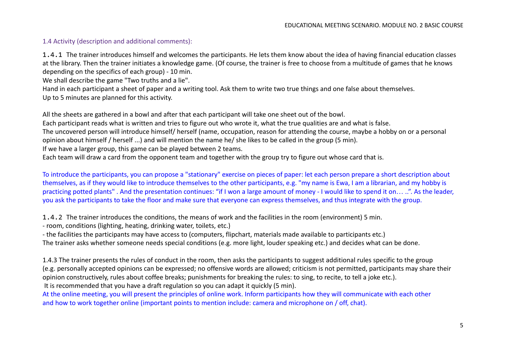## 1.4 Activity (description and additional comments):

1.4.1 The trainer introduces himself and welcomes the participants. He lets them know about the idea of having financial education classes at the library. Then the trainer initiates a knowledge game. (Of course, the trainer is free to choose from a multitude of games that he knows depending on the specifics of each group) - 10 min.

We shall describe the game "Two truths and a lie".

Hand in each participant a sheet of paper and a writing tool. Ask them to write two true things and one false about themselves. Up to 5 minutes are planned for this activity.

All the sheets are gathered in a bowl and after that each participant will take one sheet out of the bowl.

Each participant reads what is written and tries to figure out who wrote it, what the true qualities are and what is false.

The uncovered person will introduce himself/ herself (name, occupation, reason for attending the course, maybe a hobby on or a personal opinion about himself / herself ...) and will mention the name he/ she likes to be called in the group (5 min).

If we have a larger group, this game can be played between 2 teams.

Each team will draw a card from the opponent team and together with the group try to figure out whose card that is.

To introduce the participants, you can propose a "stationary" exercise on pieces of paper: let each person prepare a short description about themselves, as if they would like to introduce themselves to the other participants, e.g. "my name is Ewa, I am a librarian, and my hobby is practicing potted plants". And the presentation continues: "if I won a large amount of money - I would like to spend it on... ..". As the leader, you ask the participants to take the floor and make sure that everyone can express themselves, and thus integrate with the group.

1.4.2 The trainer introduces the conditions, the means of work and the facilities in the room (environment) 5 min.

- room, conditions (lighting, heating, drinking water, toilets, etc.)

- the facilities the participants may have access to (computers, flipchart, materials made available to participants etc.)

The trainer asks whether someone needs special conditions (e.g. more light, louder speaking etc.) and decides what can be done.

1.4.3 The trainer presents the rules of conduct in the room, then asks the participants to suggest additional rules specific to the group (e.g. personally accepted opinions can be expressed; no offensive words are allowed; criticism is not permitted, participants may share their opinion constructively, rules about coffee breaks; punishments for breaking the rules: to sing, to recite, to tell a joke etc.).

It is recommended that you have a draft regulation so you can adapt it quickly (5 min).

At the online meeting, you will present the principles of online work. Inform participants how they will communicate with each other and how to work together online (important points to mention include: camera and microphone on / off, chat).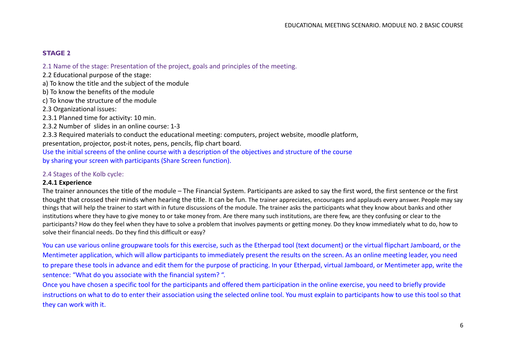## **STAGE 2**

2.1 Name of the stage: Presentation of the project, goals and principles of the meeting.

- 2.2 Educational purpose of the stage:
- a) To know the title and the subject of the module
- b) To know the benefits of the module
- c) To know the structure of the module
- 2.3 Organizational issues:
- 2.3.1 Planned time for activity: 10 min.
- 2.3.2 Number of slides in an online course: 1-3

2.3.3 Required materials to conduct the educational meeting: computers, project website, moodle platform, presentation, projector, post-it notes, pens, pencils, flip chart board.

Use the initial screens of the online course with a description of the objectives and structure of the course by sharing your screen with participants (Share Screen function).

## 2.4 Stages of the Kolb cycle:

#### **2.4.1 Experience**

The trainer announces the title of the module – The Financial System. Participants are asked to say the first word, the first sentence or the first thought that crossed their minds when hearing the title. It can be fun. The trainer appreciates, encourages and applauds every answer. People may say things that will help the trainer to start with in future discussions of the module. The trainer asks the participants what they know about banks and other institutions where they have to give money to or take money from. Are there many such institutions, are there few, are they confusing or clear to the participants? How do they feel when they have to solve a problem that involves payments or getting money. Do they know immediately what to do, how to solve their financial needs. Do they find this difficult or easy?

You can use various online groupware tools for this exercise, such as the Etherpad tool (text document) or the virtual flipchart Jamboard, or the Mentimeter application, which will allow participants to immediately present the results on the screen. As an online meeting leader, you need to prepare these tools in advance and edit them for the purpose of practicing. In your Etherpad, virtual Jamboard, or Mentimeter app, write the sentence: "What do you associate with the financial system? ".

Once you have chosen a specific tool for the participants and offered them participation in the online exercise, you need to briefly provide instructions on what to do to enter their association using the selected online tool. You must explain to participants how to use this tool so that they can work with it.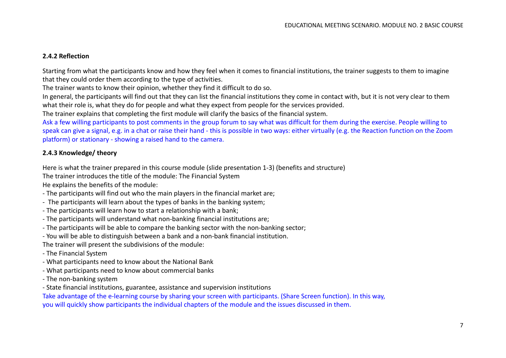## **2.4.2 Reflection**

Starting from what the participants know and how they feel when it comes to financial institutions, the trainer suggests to them to imagine that they could order them according to the type of activities.

The trainer wants to know their opinion, whether they find it difficult to do so.

In general, the participants will find out that they can list the financial institutions they come in contact with, but it is not very clear to them what their role is, what they do for people and what they expect from people for the services provided.

The trainer explains that completing the first module will clarify the basics of the financial system.

Ask a few willing participants to post comments in the group forum to say what was difficult for them during the exercise. People willing to speak can give a signal, e.g. in a chat or raise their hand - this is possible in two ways: either virtually (e.g. the Reaction function on the Zoom platform) or stationary - showing a raised hand to the camera.

## **2.4.3 Knowledge/ theory**

Here is what the trainer prepared in this course module (slide presentation 1-3) (benefits and structure)

The trainer introduces the title of the module: The Financial System

He explains the benefits of the module:

- The participants will find out who the main players in the financial market are;
- The participants will learn about the types of banks in the banking system;
- The participants will learn how to start a relationship with a bank;
- The participants will understand what non-banking financial institutions are;
- The participants will be able to compare the banking sector with the non-banking sector;
- You will be able to distinguish between a bank and a non-bank financial institution.

The trainer will present the subdivisions of the module:

- The Financial System
- What participants need to know about the National Bank
- What participants need to know about commercial banks
- The non-banking system
- State financial institutions, guarantee, assistance and supervision institutions

Take advantage of the e-learning course by sharing your screen with participants. (Share Screen function). In this way, you will quickly show participants the individual chapters of the module and the issues discussed in them.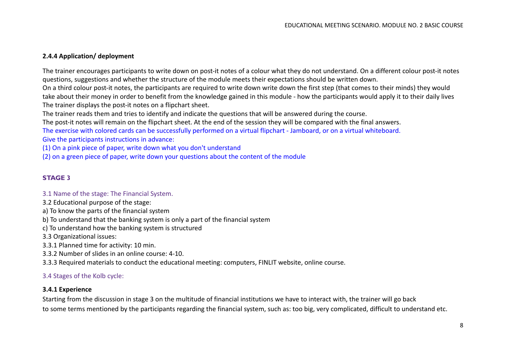## **2.4.4 Application/ deployment**

The trainer encourages participants to write down on post-it notes of a colour what they do not understand. On a different colour post-it notes questions, suggestions and whether the structure of the module meets their expectations should be written down.

On a third colour post-it notes, the participants are required to write down write down the first step (that comes to their minds) they would take about their money in order to benefit from the knowledge gained in this module - how the participants would apply it to their daily lives The trainer displays the post-it notes on a flipchart sheet.

The trainer reads them and tries to identify and indicate the questions that will be answered during the course.

The post-it notes will remain on the flipchart sheet. At the end of the session they will be compared with the final answers. The exercise with colored cards can be successfully performed on a virtual flipchart - Jamboard, or on a virtual whiteboard.

Give the participants instructions in advance:

(1) On a pink piece of paper, write down what you don't understand

(2) on a green piece of paper, write down your questions about the content of the module

## **STAGE 3**

#### 3.1 Name of the stage: The Financial System.

- 3.2 Educational purpose of the stage:
- a) To know the parts of the financial system
- b) To understand that the banking system is only a part of the financial system
- c) To understand how the banking system is structured
- 3.3 Organizational issues:
- 3.3.1 Planned time for activity: 10 min.
- 3.3.2 Number of slides in an online course: 4-10.
- 3.3.3 Required materials to conduct the educational meeting: computers, FINLIT website, online course.

## 3.4 Stages of the Kolb cycle:

## **3.4.1 Experience**

Starting from the discussion in stage 3 on the multitude of financial institutions we have to interact with, the trainer will go back to some terms mentioned by the participants regarding the financial system, such as: too big, very complicated, difficult to understand etc.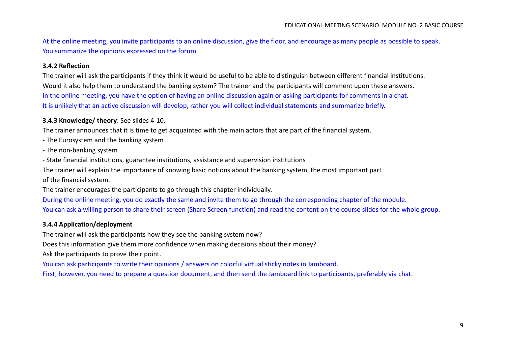At the online meeting, you invite participants to an online discussion, give the floor, and encourage as many people as possible to speak. You summarize the opinions expressed on the forum.

## **3.4.2 Reflection**

The trainer will ask the participants if they think it would be useful to be able to distinguish between different financial institutions. Would it also help them to understand the banking system? The trainer and the participants will comment upon these answers. In the online meeting, you have the option of having an online discussion again or asking participants for comments in a chat. It is unlikely that an active discussion will develop, rather you will collect individual statements and summarize briefly.

#### **3.4.3 Knowledge/ theory**: See slides 4-10.

The trainer announces that it is time to get acquainted with the main actors that are part of the financial system.

- The Eurosystem and the banking system
- The non-banking system
- State financial institutions, guarantee institutions, assistance and supervision institutions

The trainer will explain the importance of knowing basic notions about the banking system, the most important part

of the financial system.

The trainer encourages the participants to go through this chapter individually.

During the online meeting, you do exactly the same and invite them to go through the corresponding chapter of the module. You can ask a willing person to share their screen (Share Screen function) and read the content on the course slides for the whole group.

#### **3.4.4 Application/deployment**

The trainer will ask the participants how they see the banking system now?

Does this information give them more confidence when making decisions about their money?

Ask the participants to prove their point.

You can ask participants to write their opinions / answers on colorful virtual sticky notes in Jamboard.

First, however, you need to prepare a question document, and then send the Jamboard link to participants, preferably via chat.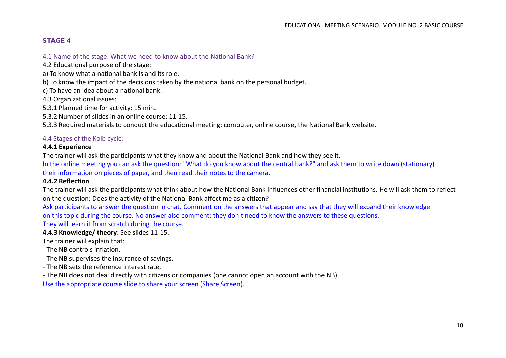## **STAGE 4**

- 4.1 Name of the stage: What we need to know about the National Bank?
- 4.2 Educational purpose of the stage:
- a) To know what a national bank is and its role.
- b) To know the impact of the decisions taken by the national bank on the personal budget.
- c) To have an idea about a national bank.
- 4.3 Organizational issues:
- 5.3.1 Planned time for activity: 15 min.
- 5.3.2 Number of slides in an online course: 11-15.
- 5.3.3 Required materials to conduct the educational meeting: computer, online course, the National Bank website.

#### 4.4 Stages of the Kolb cycle:

#### **4.4.1 Experience**

The trainer will ask the participants what they know and about the National Bank and how they see it.

In the online meeting you can ask the question: "What do you know about the central bank?" and ask them to write down (stationary) their information on pieces of paper, and then read their notes to the camera.

#### **4.4.2 Reflection**

The trainer will ask the participants what think about how the National Bank influences other financial institutions. He will ask them to reflect on the question: Does the activity of the National Bank affect me as a citizen?

Ask participants to answer the question in chat. Comment on the answers that appear and say that they will expand their knowledge on this topic during the course. No answer also comment: they don't need to know the answers to these questions. They will learn it from scratch during the course.

#### **4.4.3 Knowledge/ theory**: See slides 11-15.

The trainer will explain that:

- The NB controls inflation,
- The NB supervises the insurance of savings,
- The NB sets the reference interest rate,
- The NB does not deal directly with citizens or companies (one cannot open an account with the NB).

Use the appropriate course slide to share your screen (Share Screen).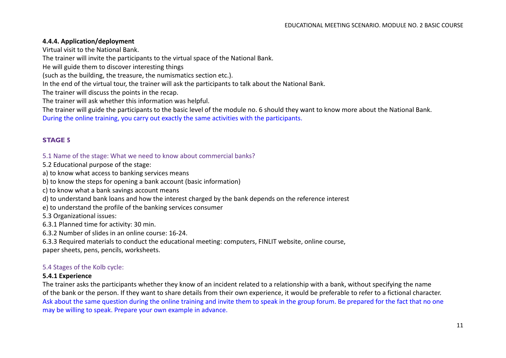## **4.4.4. Application/deployment**

Virtual visit to the National Bank.

The trainer will invite the participants to the virtual space of the National Bank.

He will guide them to discover interesting things

(such as the building, the treasure, the numismatics section etc.).

In the end of the virtual tour, the trainer will ask the participants to talk about the National Bank.

The trainer will discuss the points in the recap.

The trainer will ask whether this information was helpful.

The trainer will guide the participants to the basic level of the module no. 6 should they want to know more about the National Bank. During the online training, you carry out exactly the same activities with the participants.

## **STAGE 5**

5.1 Name of the stage: What we need to know about commercial banks?

5.2 Educational purpose of the stage:

a) to know what access to banking services means

b) to know the steps for opening a bank account (basic information)

c) to know what a bank savings account means

d) to understand bank loans and how the interest charged by the bank depends on the reference interest

e) to understand the profile of the banking services consumer

5.3 Organizational issues:

6.3.1 Planned time for activity: 30 min.

6.3.2 Number of slides in an online course: 16-24.

6.3.3 Required materials to conduct the educational meeting: computers, FINLIT website, online course,

paper sheets, pens, pencils, worksheets.

## 5.4 Stages of the Kolb cycle:

## **5.4.1 Experience**

The trainer asks the participants whether they know of an incident related to a relationship with a bank, without specifying the name of the bank or the person. If they want to share details from their own experience, it would be preferable to refer to a fictional character. Ask about the same question during the online training and invite them to speak in the group forum. Be prepared for the fact that no one may be willing to speak. Prepare your own example in advance.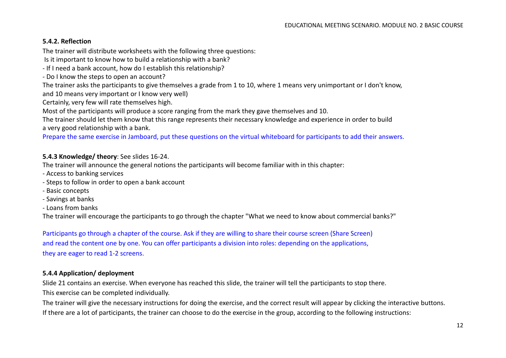## **5.4.2. Reflection**

The trainer will distribute worksheets with the following three questions:

Is it important to know how to build a relationship with a bank?

- If I need a bank account, how do I establish this relationship?

- Do I know the steps to open an account?

The trainer asks the participants to give themselves a grade from 1 to 10, where 1 means very unimportant or I don't know, and 10 means very important or I know very well)

Certainly, very few will rate themselves high.

Most of the participants will produce a score ranging from the mark they gave themselves and 10.

The trainer should let them know that this range represents their necessary knowledge and experience in order to build a very good relationship with a bank.

Prepare the same exercise in Jamboard, put these questions on the virtual whiteboard for participants to add their answers.

## **5.4.3 Knowledge/ theory**: See slides 16-24.

The trainer will announce the general notions the participants will become familiar with in this chapter:

- Access to banking services
- Steps to follow in order to open a bank account
- Basic concepts
- Savings at banks
- Loans from banks

The trainer will encourage the participants to go through the chapter "What we need to know about commercial banks?"

Participants go through a chapter of the course. Ask if they are willing to share their course screen (Share Screen) and read the content one by one. You can offer participants a division into roles: depending on the applications, they are eager to read 1-2 screens.

## **5.4.4 Application/ deployment**

Slide 21 contains an exercise. When everyone has reached this slide, the trainer will tell the participants to stop there.

This exercise can be completed individually.

The trainer will give the necessary instructions for doing the exercise, and the correct result will appear by clicking the interactive buttons. If there are a lot of participants, the trainer can choose to do the exercise in the group, according to the following instructions: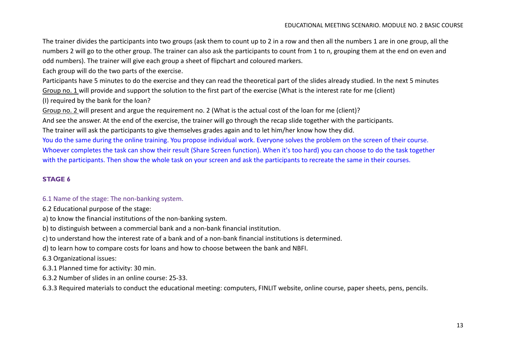The trainer divides the participants into two groups (ask them to count up to 2 in a row and then all the numbers 1 are in one group, all the numbers 2 will go to the other group. The trainer can also ask the participants to count from 1 to n, grouping them at the end on even and odd numbers). The trainer will give each group a sheet of flipchart and coloured markers.

Each group will do the two parts of the exercise.

Participants have 5 minutes to do the exercise and they can read the theoretical part of the slides already studied. In the next 5 minutes Group no. 1 will provide and support the solution to the first part of the exercise (What is the interest rate for me (client)

(I) required by the bank for the loan?

Group no. 2 will present and argue the requirement no. 2 (What is the actual cost of the loan for me (client)?

And see the answer. At the end of the exercise, the trainer will go through the recap slide together with the participants.

The trainer will ask the participants to give themselves grades again and to let him/her know how they did.

You do the same during the online training. You propose individual work. Everyone solves the problem on the screen of their course. Whoever completes the task can show their result (Share Screen function). When it's too hard) you can choose to do the task together with the participants. Then show the whole task on your screen and ask the participants to recreate the same in their courses.

## **STAGE 6**

## 6.1 Name of the stage: The non-banking system.

6.2 Educational purpose of the stage:

a) to know the financial institutions of the non-banking system.

b) to distinguish between a commercial bank and a non-bank financial institution.

c) to understand how the interest rate of a bank and of a non-bank financial institutions is determined.

d) to learn how to compare costs for loans and how to choose between the bank and NBFI.

6.3 Organizational issues:

6.3.1 Planned time for activity: 30 min.

6.3.2 Number of slides in an online course: 25-33.

6.3.3 Required materials to conduct the educational meeting: computers, FINLIT website, online course, paper sheets, pens, pencils.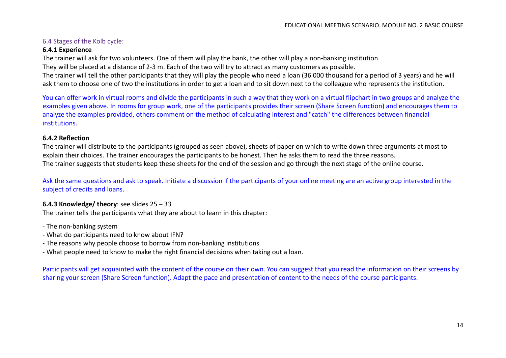## 6.4 Stages of the Kolb cycle:

#### **6.4.1 Experience**

The trainer will ask for two volunteers. One of them will play the bank, the other will play a non-banking institution.

They will be placed at a distance of 2-3 m. Each of the two will try to attract as many customers as possible.

The trainer will tell the other participants that they will play the people who need a loan (36 000 thousand for a period of 3 years) and he will ask them to choose one of two the institutions in order to get a loan and to sit down next to the colleague who represents the institution.

You can offer work in virtual rooms and divide the participants in such a way that they work on a virtual flipchart in two groups and analyze the examples given above. In rooms for group work, one of the participants provides their screen (Share Screen function) and encourages them to analyze the examples provided, others comment on the method of calculating interest and "catch" the differences between financial institutions.

#### **6.4.2 Reflection**

The trainer will distribute to the participants (grouped as seen above), sheets of paper on which to write down three arguments at most to explain their choices. The trainer encourages the participants to be honest. Then he asks them to read the three reasons. The trainer suggests that students keep these sheets for the end of the session and go through the next stage of the online course.

Ask the same questions and ask to speak. Initiate a discussion if the participants of your online meeting are an active group interested in the subject of credits and loans.

## **6.4.3 Knowledge/ theory**: see slides 25 – 33

The trainer tells the participants what they are about to learn in this chapter:

- The non-banking system

- What do participants need to know about IFN?
- The reasons why people choose to borrow from non-banking institutions

- What people need to know to make the right financial decisions when taking out a loan.

Participants will get acquainted with the content of the course on their own. You can suggest that you read the information on their screens by sharing your screen (Share Screen function). Adapt the pace and presentation of content to the needs of the course participants.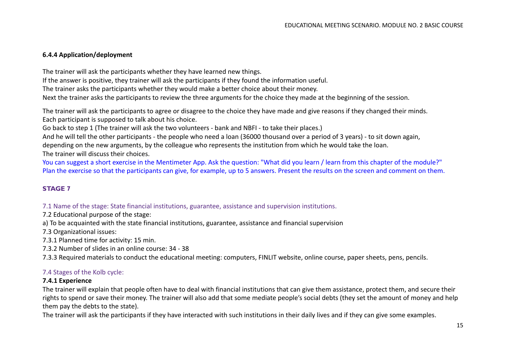## **6.4.4 Application/deployment**

The trainer will ask the participants whether they have learned new things. If the answer is positive, they trainer will ask the participants if they found the information useful. The trainer asks the participants whether they would make a better choice about their money. Next the trainer asks the participants to review the three arguments for the choice they made at the beginning of the session.

The trainer will ask the participants to agree or disagree to the choice they have made and give reasons if they changed their minds. Each participant is supposed to talk about his choice.

Go back to step 1 (The trainer will ask the two volunteers - bank and NBFI - to take their places.)

And he will tell the other participants - the people who need a loan (36000 thousand over a period of 3 years) - to sit down again,

depending on the new arguments, by the colleague who represents the institution from which he would take the loan.

The trainer will discuss their choices.

You can suggest a short exercise in the Mentimeter App. Ask the question: "What did you learn / learn from this chapter of the module?" Plan the exercise so that the participants can give, for example, up to 5 answers. Present the results on the screen and comment on them.

## **STAGE 7**

7.1 Name of the stage: State financial institutions, guarantee, assistance and supervision institutions.

7.2 Educational purpose of the stage:

a) To be acquainted with the state financial institutions, guarantee, assistance and financial supervision

7.3 Organizational issues:

7.3.1 Planned time for activity: 15 min.

7.3.2 Number of slides in an online course: 34 - 38

7.3.3 Required materials to conduct the educational meeting: computers, FINLIT website, online course, paper sheets, pens, pencils.

## 7.4 Stages of the Kolb cycle:

## **7.4.1 Experience**

The trainer will explain that people often have to deal with financial institutions that can give them assistance, protect them, and secure their rights to spend or save their money. The trainer will also add that some mediate people's social debts (they set the amount of money and help them pay the debts to the state).

The trainer will ask the participants if they have interacted with such institutions in their daily lives and if they can give some examples.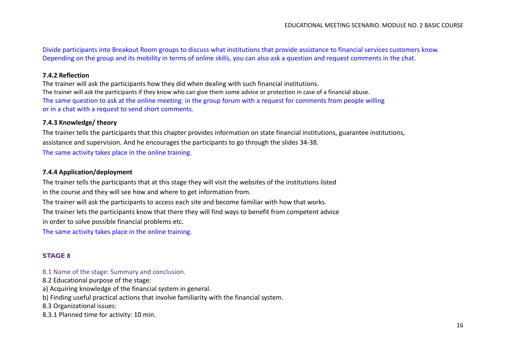Divide participants into Breakout Room groups to discuss what institutions that provide assistance to financial services customers know. Depending on the group and its mobility in terms of online skills, you can also ask a question and request comments in the chat.

#### **7.4.2 Reflection**

The trainer will ask the participants how they did when dealing with such financial institutions. The trainer will ask the participants if they know who can give them some advice or protection in case of a financial abuse. The same question to ask at the online meeting: in the group forum with a request for comments from people willing or in a chat with a request to send short comments.

#### **7.4.3 Knowledge/ theory**

The trainer tells the participants that this chapter provides information on state financial institutions, guarantee institutions, assistance and supervision. And he encourages the participants to go through the slides 34-38. The same activity takes place in the online training.

#### **7.4.4 Application/deployment**

The trainer tells the participants that at this stage they will visit the websites of the institutions listed in the course and they will see how and where to get information from.

The trainer will ask the participants to access each site and become familiar with how that works.

The trainer lets the participants know that there they will find ways to benefit from competent advice

in order to solve possible financial problems etc.

The same activity takes place in the online training.

## **STAGE 8**

8.1 Name of the stage: Summary and conclusion.

8.2 Educational purpose of the stage:

a) Acquiring knowledge of the financial system in general.

b) Finding useful practical actions that involve familiarity with the financial system.

8.3 Organizational issues:

8.3.1 Planned time for activity: 10 min.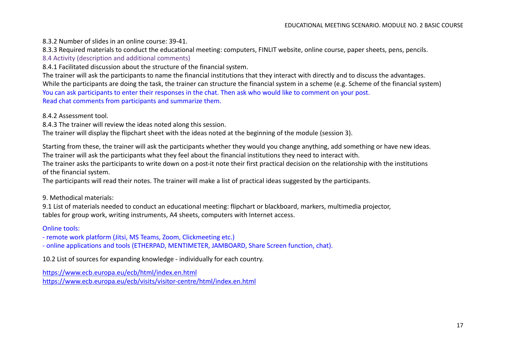8.3.2 Number of slides in an online course: 39-41.

8.3.3 Required materials to conduct the educational meeting: computers, FINLIT website, online course, paper sheets, pens, pencils.

8.4 Activity (description and additional comments)

8.4.1 Facilitated discussion about the structure of the financial system.

The trainer will ask the participants to name the financial institutions that they interact with directly and to discuss the advantages. While the participants are doing the task, the trainer can structure the financial system in a scheme (e.g. Scheme of the financial system) You can ask participants to enter their responses in the chat. Then ask who would like to comment on your post. Read chat comments from participants and summarize them.

8.4.2 Assessment tool.

8.4.3 The trainer will review the ideas noted along this session.

The trainer will display the flipchart sheet with the ideas noted at the beginning of the module (session 3).

Starting from these, the trainer will ask the participants whether they would you change anything, add something or have new ideas. The trainer will ask the participants what they feel about the financial institutions they need to interact with.

The trainer asks the participants to write down on a post-it note their first practical decision on the relationship with the institutions of the financial system.

The participants will read their notes. The trainer will make a list of practical ideas suggested by the participants.

9. Methodical materials:

9.1 List of materials needed to conduct an educational meeting: flipchart or blackboard, markers, multimedia projector, tables for group work, writing instruments, A4 sheets, computers with Internet access.

Online tools:

- remote work platform (Jitsi, MS Teams, Zoom, Clickmeeting etc.)

- online applications and tools (ETHERPAD, MENTIMETER, JAMBOARD, Share Screen function, chat).

10.2 List of sources for expanding knowledge - individually for each country.

<https://www.ecb.europa.eu/ecb/html/index.en.html> <https://www.ecb.europa.eu/ecb/visits/visitor-centre/html/index.en.html>